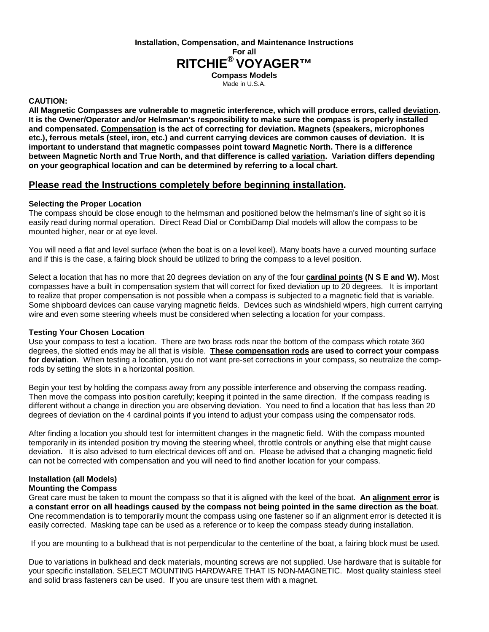**Installation, Compensation, and Maintenance Instructions For all RITCHIE® VOYAGER™ Compass Models** 

Made in U.S.A.

## **CAUTION:**

**All Magnetic Compasses are vulnerable to magnetic interference, which will produce errors, called deviation. It is the Owner/Operator and/or Helmsman's responsibility to make sure the compass is properly installed and compensated. Compensation is the act of correcting for deviation. Magnets (speakers, microphones etc.), ferrous metals (steel, iron, etc.) and current carrying devices are common causes of deviation. It is important to understand that magnetic compasses point toward Magnetic North. There is a difference between Magnetic North and True North, and that difference is called variation. Variation differs depending on your geographical location and can be determined by referring to a local chart.** 

# **Please read the Instructions completely before beginning installation.**

## **Selecting the Proper Location**

The compass should be close enough to the helmsman and positioned below the helmsman's line of sight so it is easily read during normal operation. Direct Read Dial or CombiDamp Dial models will allow the compass to be mounted higher, near or at eye level.

You will need a flat and level surface (when the boat is on a level keel). Many boats have a curved mounting surface and if this is the case, a fairing block should be utilized to bring the compass to a level position.

Select a location that has no more that 20 degrees deviation on any of the four **cardinal points (N S E and W).** Most compasses have a built in compensation system that will correct for fixed deviation up to 20 degrees. It is important to realize that proper compensation is not possible when a compass is subjected to a magnetic field that is variable. Some shipboard devices can cause varying magnetic fields. Devices such as windshield wipers, high current carrying wire and even some steering wheels must be considered when selecting a location for your compass.

#### **Testing Your Chosen Location**

Use your compass to test a location. There are two brass rods near the bottom of the compass which rotate 360 degrees, the slotted ends may be all that is visible. **These compensation rods are used to correct your compass for deviation**. When testing a location, you do not want pre-set corrections in your compass, so neutralize the comprods by setting the slots in a horizontal position.

Begin your test by holding the compass away from any possible interference and observing the compass reading. Then move the compass into position carefully; keeping it pointed in the same direction. If the compass reading is different without a change in direction you are observing deviation. You need to find a location that has less than 20 degrees of deviation on the 4 cardinal points if you intend to adjust your compass using the compensator rods.

After finding a location you should test for intermittent changes in the magnetic field. With the compass mounted temporarily in its intended position try moving the steering wheel, throttle controls or anything else that might cause deviation. It is also advised to turn electrical devices off and on. Please be advised that a changing magnetic field can not be corrected with compensation and you will need to find another location for your compass.

# **Installation (all Models)**

#### **Mounting the Compass**

Great care must be taken to mount the compass so that it is aligned with the keel of the boat. **An alignment error is a constant error on all headings caused by the compass not being pointed in the same direction as the boat**. One recommendation is to temporarily mount the compass using one fastener so if an alignment error is detected it is easily corrected. Masking tape can be used as a reference or to keep the compass steady during installation.

If you are mounting to a bulkhead that is not perpendicular to the centerline of the boat, a fairing block must be used.

Due to variations in bulkhead and deck materials, mounting screws are not supplied. Use hardware that is suitable for your specific installation. SELECT MOUNTING HARDWARE THAT IS NON-MAGNETIC. Most quality stainless steel and solid brass fasteners can be used. If you are unsure test them with a magnet.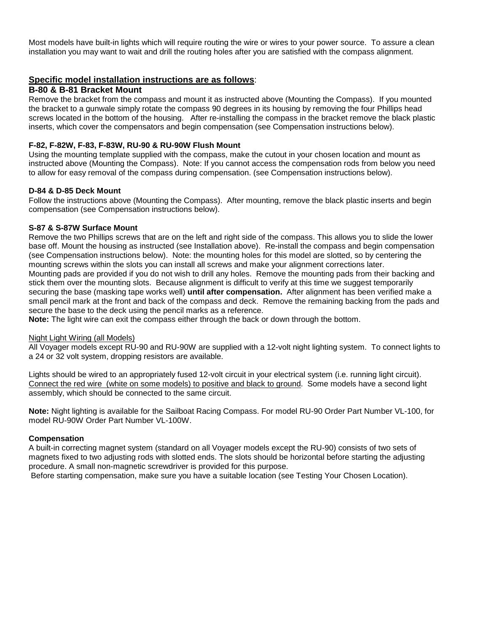Most models have built-in lights which will require routing the wire or wires to your power source. To assure a clean installation you may want to wait and drill the routing holes after you are satisfied with the compass alignment.

## **Specific model installation instructions are as follows**:

#### **B-80 & B-81 Bracket Mount**

Remove the bracket from the compass and mount it as instructed above (Mounting the Compass). If you mounted the bracket to a gunwale simply rotate the compass 90 degrees in its housing by removing the four Phillips head screws located in the bottom of the housing. After re-installing the compass in the bracket remove the black plastic inserts, which cover the compensators and begin compensation (see Compensation instructions below).

## **F-82, F-82W, F-83, F-83W, RU-90 & RU-90W Flush Mount**

Using the mounting template supplied with the compass, make the cutout in your chosen location and mount as instructed above (Mounting the Compass). Note: If you cannot access the compensation rods from below you need to allow for easy removal of the compass during compensation. (see Compensation instructions below).

#### **D-84 & D-85 Deck Mount**

Follow the instructions above (Mounting the Compass). After mounting, remove the black plastic inserts and begin compensation (see Compensation instructions below).

#### **S-87 & S-87W Surface Mount**

Remove the two Phillips screws that are on the left and right side of the compass. This allows you to slide the lower base off. Mount the housing as instructed (see Installation above). Re-install the compass and begin compensation (see Compensation instructions below). Note: the mounting holes for this model are slotted, so by centering the mounting screws within the slots you can install all screws and make your alignment corrections later. Mounting pads are provided if you do not wish to drill any holes. Remove the mounting pads from their backing and stick them over the mounting slots. Because alignment is difficult to verify at this time we suggest temporarily securing the base (masking tape works well) **until after compensation.** After alignment has been verified make a small pencil mark at the front and back of the compass and deck. Remove the remaining backing from the pads and secure the base to the deck using the pencil marks as a reference.

**Note:** The light wire can exit the compass either through the back or down through the bottom.

#### Night Light Wiring (all Models)

All Voyager models except RU-90 and RU-90W are supplied with a 12-volt night lighting system. To connect lights to a 24 or 32 volt system, dropping resistors are available.

Lights should be wired to an appropriately fused 12-volt circuit in your electrical system (i.e. running light circuit). Connect the red wire (white on some models) to positive and black to ground. Some models have a second light assembly, which should be connected to the same circuit.

**Note:** Night lighting is available for the Sailboat Racing Compass. For model RU-90 Order Part Number VL-100, for model RU-90W Order Part Number VL-100W.

#### **Compensation**

A built-in correcting magnet system (standard on all Voyager models except the RU-90) consists of two sets of magnets fixed to two adjusting rods with slotted ends. The slots should be horizontal before starting the adjusting procedure. A small non-magnetic screwdriver is provided for this purpose.

Before starting compensation, make sure you have a suitable location (see Testing Your Chosen Location).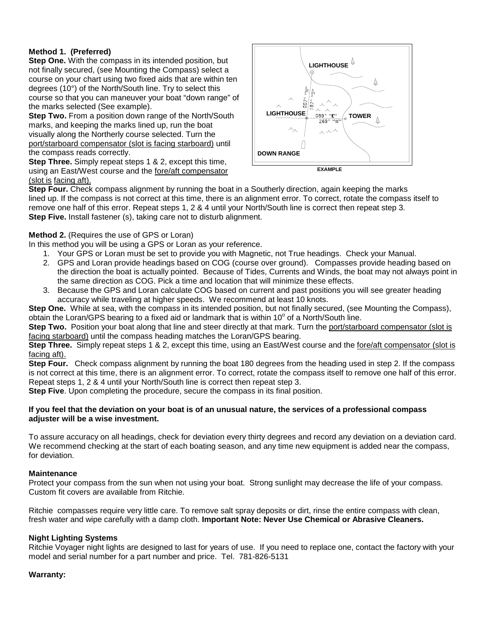# **Method 1. (Preferred)**

**Step One.** With the compass in its intended position, but not finally secured, (see Mounting the Compass) select a course on your chart using two fixed aids that are within ten degrees (10°) of the North/South line. Try to select this course so that you can maneuver your boat "down range" of the marks selected (See example).

**Step Two.** From a position down range of the North/South marks, and keeping the marks lined up, run the boat visually along the Northerly course selected. Turn the port/starboard compensator (slot is facing starboard) until the compass reads correctly.

**Step Three.** Simply repeat steps 1 & 2, except this time, using an East/West course and the fore/aft compensator (slot is facing aft).





**Step Four.** Check compass alignment by running the boat in a Southerly direction, again keeping the marks lined up. If the compass is not correct at this time, there is an alignment error. To correct, rotate the compass itself to remove one half of this error. Repeat steps 1, 2 & 4 until your North/South line is correct then repeat step 3. **Step Five.** Install fastener (s), taking care not to disturb alignment.

# **Method 2.** (Requires the use of GPS or Loran)

In this method you will be using a GPS or Loran as your reference.

- 1. Your GPS or Loran must be set to provide you with Magnetic, not True headings. Check your Manual.
- 2. GPS and Loran provide headings based on COG (course over ground). Compasses provide heading based on the direction the boat is actually pointed. Because of Tides, Currents and Winds, the boat may not always point in the same direction as COG. Pick a time and location that will minimize these effects.
- 3. Because the GPS and Loran calculate COG based on current and past positions you will see greater heading accuracy while traveling at higher speeds. We recommend at least 10 knots.

**Step One.** While at sea, with the compass in its intended position, but not finally secured, (see Mounting the Compass), obtain the Loran/GPS bearing to a fixed aid or landmark that is within 10 $^{\circ}$  of a North/South line.

**Step Two.** Position your boat along that line and steer directly at that mark. Turn the port/starboard compensator (slot is facing starboard) until the compass heading matches the Loran/GPS bearing.

**Step Three.** Simply repeat steps 1 & 2, except this time, using an East/West course and the fore/aft compensator (slot is facing aft).

**Step Four.** Check compass alignment by running the boat 180 degrees from the heading used in step 2. If the compass is not correct at this time, there is an alignment error. To correct, rotate the compass itself to remove one half of this error. Repeat steps 1, 2 & 4 until your North/South line is correct then repeat step 3.

**Step Five**. Upon completing the procedure, secure the compass in its final position.

#### **If you feel that the deviation on your boat is of an unusual nature, the services of a professional compass adjuster will be a wise investment.**

To assure accuracy on all headings, check for deviation every thirty degrees and record any deviation on a deviation card. We recommend checking at the start of each boating season, and any time new equipment is added near the compass, for deviation.

# **Maintenance**

Protect your compass from the sun when not using your boat. Strong sunlight may decrease the life of your compass. Custom fit covers are available from Ritchie.

Ritchie compasses require very little care. To remove salt spray deposits or dirt, rinse the entire compass with clean, fresh water and wipe carefully with a damp cloth. **Important Note: Never Use Chemical or Abrasive Cleaners.** 

# **Night Lighting Systems**

Ritchie Voyager night lights are designed to last for years of use. If you need to replace one, contact the factory with your model and serial number for a part number and price. Tel. 781-826-5131

# **Warranty:**